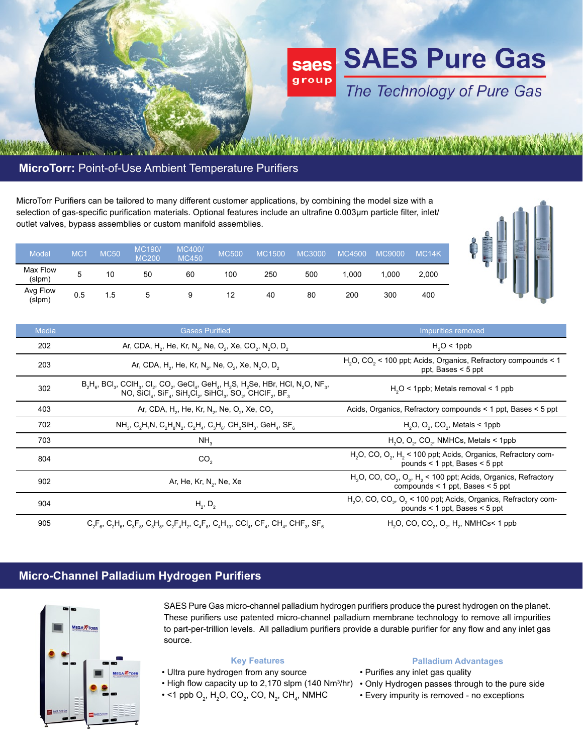

# **MicroTorr:** Point-of-Use Ambient Temperature Purifiers

MicroTorr Purifiers can be tailored to many different customer applications, by combining the model size with a selection of gas-specific purification materials. Optional features include an ultrafine 0.003µm particle filter, inlet/ outlet valves, bypass assemblies or custom manifold assemblies.

| -<br>Ε<br>٠ | <br>Elli | and they<br>۰<br>-<br>$\overline{\phantom{a}}$<br>-<br>٠<br>۰<br>- | <b>The Contract</b><br><b>MARINE</b> |
|-------------|----------|--------------------------------------------------------------------|--------------------------------------|
|             |          |                                                                    |                                      |

| <b>Model</b>       | MC· | <b>MC50</b> | <b>MC190/</b><br><b>MC200</b> | <b>MC400/</b><br><b>MC450</b> | <b>MC500</b> | <b>MC1500</b> | <b>MC3000</b> | <b>MC4500</b> | <b>MC9000</b> | MC <sub>14</sub> K |
|--------------------|-----|-------------|-------------------------------|-------------------------------|--------------|---------------|---------------|---------------|---------------|--------------------|
| Max Flow<br>(slpm) | 5   | 10          | 50                            | 60                            | 100          | 250           | 500           | .000          | 1.000         | 2,000              |
| Avg Flow<br>(slpm) | 0.5 | 1.5         | 5                             | 9                             | 12           | 40            | 80            | 200           | 300           | 400                |

| Media | <b>Gases Purified</b>                                                                                                                                                                                                                                                                                                                                                        | Impurities removed                                                                                                                                 |  |  |  |
|-------|------------------------------------------------------------------------------------------------------------------------------------------------------------------------------------------------------------------------------------------------------------------------------------------------------------------------------------------------------------------------------|----------------------------------------------------------------------------------------------------------------------------------------------------|--|--|--|
| 202   | Ar, CDA, H <sub>2</sub> , He, Kr, N <sub>2</sub> , Ne, O <sub>2</sub> , Xe, CO <sub>2</sub> , N <sub>2</sub> O, D <sub>2</sub>                                                                                                                                                                                                                                               | $H2O < 1$ ppb                                                                                                                                      |  |  |  |
| 203   | Ar, CDA, H <sub>2</sub> , He, Kr, N <sub>2</sub> , Ne, O <sub>2</sub> , Xe, N <sub>2</sub> O, D <sub>2</sub>                                                                                                                                                                                                                                                                 | H <sub>2</sub> O, CO <sub>2</sub> < 100 ppt; Acids, Organics, Refractory compounds < 1<br>ppt, Bases $\le$ 5 ppt                                   |  |  |  |
| 302   | $B_2H_g$ , BCI <sub>3</sub> , CCIH <sub>3</sub> , CI <sub>2</sub> , CO <sub>2</sub> , GeCI <sub>4</sub> , GeH <sub>4</sub> , H <sub>2</sub> S, H <sub>2</sub> Se, HBr, HCI, N <sub>2</sub> O, NF <sub>3</sub> ,<br>NO, SiCl <sub>a</sub> , SiF <sub>a</sub> , SiH <sub>2</sub> Cl <sub>2</sub> , SiHCl <sub>3</sub> , SO <sub>2</sub> , CHCIF <sub>2</sub> , BF <sub>3</sub> | $H2O < 1$ ppb; Metals removal $< 1$ ppb                                                                                                            |  |  |  |
| 403   | Ar, CDA, H <sub>2</sub> , He, Kr, N <sub>2</sub> , Ne, O <sub>2</sub> , Xe, CO <sub>2</sub>                                                                                                                                                                                                                                                                                  | Acids, Organics, Refractory compounds < 1 ppt, Bases < 5 ppt                                                                                       |  |  |  |
| 702   | $NH_{3}$ , C <sub>2</sub> H <sub>7</sub> N, C <sub>2</sub> H <sub>8</sub> N <sub>2</sub> , C <sub>2</sub> H <sub>4</sub> , C <sub>3</sub> H <sub>6</sub> , CH <sub>3</sub> SiH <sub>3</sub> , GeH <sub>4</sub> , SF <sub>6</sub>                                                                                                                                             | $H2O$ , $O2$ , $CO2$ , Metals < 1ppb                                                                                                               |  |  |  |
| 703   | NH <sub>3</sub>                                                                                                                                                                                                                                                                                                                                                              | $H2O$ , $O2$ , CO <sub>2</sub> , NMHCs, Metals < 1ppb                                                                                              |  |  |  |
| 804   | CO <sub>2</sub>                                                                                                                                                                                                                                                                                                                                                              | H <sub>2</sub> O, CO, O <sub>2</sub> , H <sub>2</sub> < 100 ppt; Acids, Organics, Refractory com-<br>pounds $<$ 1 ppt, Bases $<$ 5 ppt             |  |  |  |
| 902   | Ar, He, Kr, N <sub>2</sub> , Ne, Xe                                                                                                                                                                                                                                                                                                                                          | H <sub>2</sub> O, CO, CO <sub>2</sub> , O <sub>2</sub> , H <sub>2</sub> < 100 ppt; Acids, Organics, Refractory<br>compounds < 1 ppt, Bases < 5 ppt |  |  |  |
| 904   | $H_2, D_2$                                                                                                                                                                                                                                                                                                                                                                   | H <sub>2</sub> O, CO, CO <sub>2</sub> , O <sub>2</sub> < 100 ppt; Acids, Organics, Refractory com-<br>pounds $<$ 1 ppt, Bases $<$ 5 ppt            |  |  |  |
| 905   | $C_2F_6$ , $C_2H_6$ , $C_3F_8$ , $C_3H_8$ , $C_2F_4H_2$ , $C_4F_8$ , $C_4H_{10}$ , $CCl_4$ , $CF_4$ , $CH_4$ , $CHF_3$ , $SF_8$                                                                                                                                                                                                                                              | $H_2O$ , CO, CO <sub>2</sub> , O <sub>2</sub> , H <sub>2</sub> , NMHCs< 1 ppb                                                                      |  |  |  |

### **Micro-Channel Palladium Hydrogen Purifiers**



SAES Pure Gas micro-channel palladium hydrogen purifiers produce the purest hydrogen on the planet. These purifiers use patented micro-channel palladium membrane technology to remove all impurities to part-per-trillion levels. All palladium purifiers provide a durable purifier for any flow and any inlet gas source.

### **Key Features**

- Ultra pure hydrogen from any source
- 
- $\bullet$  <1 ppb O $_2$ , H $_2$ O, CO $_2$ , CO, N $_2$ , CH $_4$ , NMHC

#### **Palladium Advantages**

- Purifies any inlet gas quality
- High flow capacity up to 2,170 slpm (140 Nm<sup>3</sup>/hr) Only Hydrogen passes through to the pure side
	- Every impurity is removed no exceptions